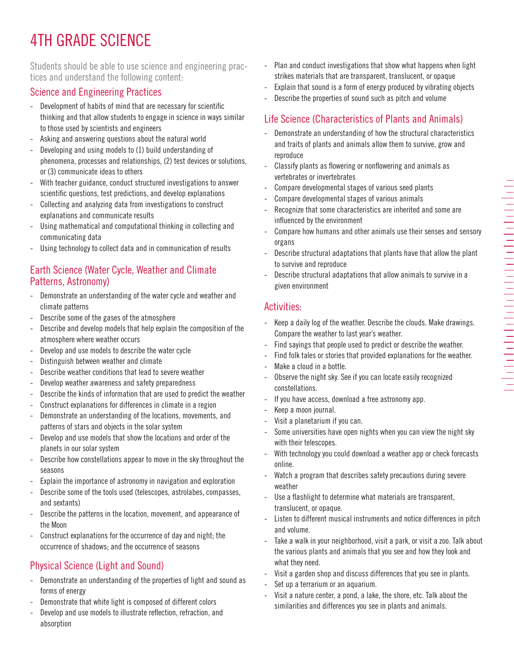# 4TH GRADE SCIENCE

Students should be able to use science and engineering practices and understand the following content:

### Science and Engineering Practices

- Development of habits of mind that are necessary for scientific thinking and that allow students to engage in science in ways similar to those used by scientists and engineers
- Asking and answering questions about the natural world
- Developing and using models to (1) build understanding of phenomena, processes and relationships, (2) test devices or solutions, or (3) communicate ideas to others
- With teacher guidance, conduct structured investigations to answer scientific questions, test predictions, and develop explanations
- Collecting and analyzing data from investigations to construct explanations and communicate results
- Using mathematical and computational thinking in collecting and communicating data
- Using technology to collect data and in communication of results

### Earth Science (Water Cycle, Weather and Climate Patterns, Astronomy)

- Demonstrate an understanding of the water cycle and weather and climate patterns
- Describe some of the gases of the atmosphere
- Describe and develop models that help explain the composition of the atmosphere where weather occurs
- Develop and use models to describe the water cycle
- Distinguish between weather and climate
- Describe weather conditions that lead to severe weather
- Develop weather awareness and safety preparedness
- Describe the kinds of information that are used to predict the weather
- Construct explanations for differences in climate in a region
- Demonstrate an understanding of the locations, movements, and patterns of stars and objects in the solar system
- Develop and use models that show the locations and order of the planets in our solar system
- Describe how constellations appear to move in the sky throughout the seasons
- Explain the importance of astronomy in navigation and exploration
- Describe some of the tools used (telescopes, astrolabes, compasses, and sextants)
- Describe the patterns in the location, movement, and appearance of the Moon
- Construct explanations for the occurrence of day and night; the occurrence of shadows; and the occurrence of seasons

### Physical Science (Light and Sound)

- Demonstrate an understanding of the properties of light and sound as forms of energy
- Demonstrate that white light is composed of different colors
- Develop and use models to illustrate reflection, refraction, and absorption
- Plan and conduct investigations that show what happens when light strikes materials that are transparent, translucent, or opaque
- Explain that sound is a form of energy produced by vibrating objects
- Describe the properties of sound such as pitch and volume

## Life Science (Characteristics of Plants and Animals)

- Demonstrate an understanding of how the structural characteristics and traits of plants and animals allow them to survive, grow and reproduce
- Classify plants as flowering or nonflowering and animals as vertebrates or invertebrates
- Compare developmental stages of various seed plants
- Compare developmental stages of various animals
- Recognize that some characteristics are inherited and some are influenced by the environment
- Compare how humans and other animals use their senses and sensory organs
- Describe structural adaptations that plants have that allow the plant to survive and reproduce
- Describe structural adaptations that allow animals to survive in a given environment

#### Activities:

- Keep a daily log of the weather. Describe the clouds. Make drawings. Compare the weather to last year's weather.
- Find sayings that people used to predict or describe the weather.
- Find folk tales or stories that provided explanations for the weather.
- Make a cloud in a bottle.
- Observe the night sky. See if you can locate easily recognized constellations.
- If you have access, download a free astronomy app.
- Keep a moon journal.
- Visit a planetarium if you can.
- Some universities have open nights when you can view the night sky with their telescopes.
- With technology you could download a weather app or check forecasts online.
- Watch a program that describes safety precautions during severe weather
- Use a flashlight to determine what materials are transparent, translucent, or opaque.
- Listen to different musical instruments and notice differences in pitch and volume.
- Take a walk in your neighborhood, visit a park, or visit a zoo. Talk about the various plants and animals that you see and how they look and what they need.
- Visit a garden shop and discuss differences that you see in plants.
- Set up a terrarium or an aquarium.
- Visit a nature center, a pond, a lake, the shore, etc. Talk about the similarities and differences you see in plants and animals.